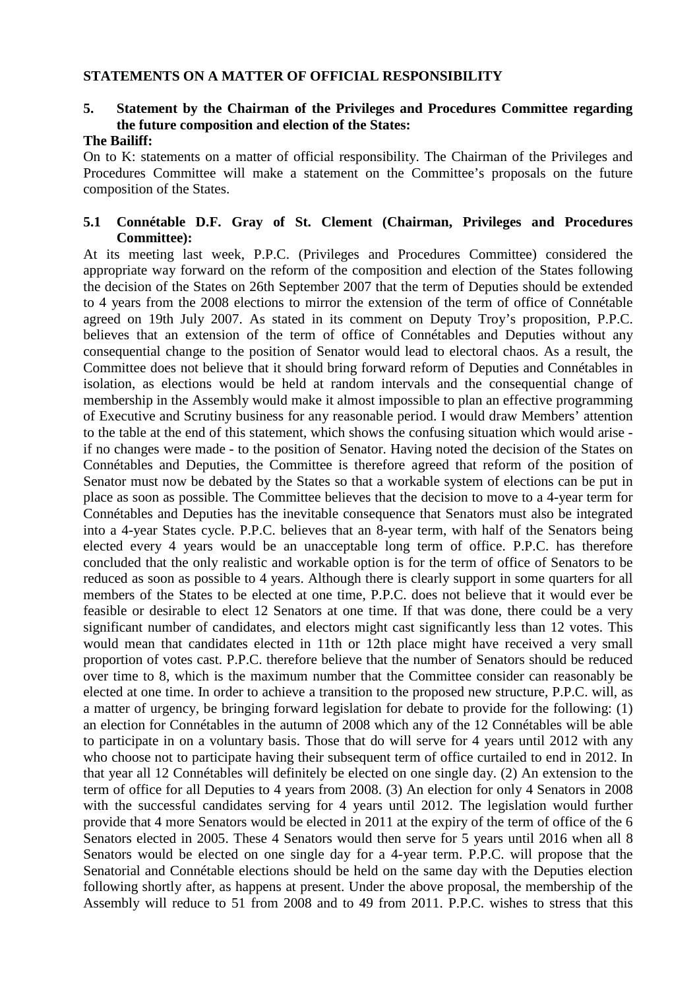#### **STATEMENTS ON A MATTER OF OFFICIAL RESPONSIBILITY**

# **5. Statement by the Chairman of the Privileges and Procedures Committee regarding the future composition and election of the States:**

### **The Bailiff:**

On to K: statements on a matter of official responsibility. The Chairman of the Privileges and Procedures Committee will make a statement on the Committee's proposals on the future composition of the States.

#### **5.1 Connétable D.F. Gray of St. Clement (Chairman, Privileges and Procedures Committee):**

At its meeting last week, P.P.C. (Privileges and Procedures Committee) considered the appropriate way forward on the reform of the composition and election of the States following the decision of the States on 26th September 2007 that the term of Deputies should be extended to 4 years from the 2008 elections to mirror the extension of the term of office of Connétable agreed on 19th July 2007. As stated in its comment on Deputy Troy's proposition, P.P.C. believes that an extension of the term of office of Connétables and Deputies without any consequential change to the position of Senator would lead to electoral chaos. As a result, the Committee does not believe that it should bring forward reform of Deputies and Connétables in isolation, as elections would be held at random intervals and the consequential change of membership in the Assembly would make it almost impossible to plan an effective programming of Executive and Scrutiny business for any reasonable period. I would draw Members' attention to the table at the end of this statement, which shows the confusing situation which would arise if no changes were made - to the position of Senator. Having noted the decision of the States on Connétables and Deputies, the Committee is therefore agreed that reform of the position of Senator must now be debated by the States so that a workable system of elections can be put in place as soon as possible. The Committee believes that the decision to move to a 4-year term for Connétables and Deputies has the inevitable consequence that Senators must also be integrated into a 4-year States cycle. P.P.C. believes that an 8-year term, with half of the Senators being elected every 4 years would be an unacceptable long term of office. P.P.C. has therefore concluded that the only realistic and workable option is for the term of office of Senators to be reduced as soon as possible to 4 years. Although there is clearly support in some quarters for all members of the States to be elected at one time, P.P.C. does not believe that it would ever be feasible or desirable to elect 12 Senators at one time. If that was done, there could be a very significant number of candidates, and electors might cast significantly less than 12 votes. This would mean that candidates elected in 11th or 12th place might have received a very small proportion of votes cast. P.P.C. therefore believe that the number of Senators should be reduced over time to 8, which is the maximum number that the Committee consider can reasonably be elected at one time. In order to achieve a transition to the proposed new structure, P.P.C. will, as a matter of urgency, be bringing forward legislation for debate to provide for the following: (1) an election for Connétables in the autumn of 2008 which any of the 12 Connétables will be able to participate in on a voluntary basis. Those that do will serve for 4 years until 2012 with any who choose not to participate having their subsequent term of office curtailed to end in 2012. In that year all 12 Connétables will definitely be elected on one single day. (2) An extension to the term of office for all Deputies to 4 years from 2008. (3) An election for only 4 Senators in 2008 with the successful candidates serving for 4 years until 2012. The legislation would further provide that 4 more Senators would be elected in 2011 at the expiry of the term of office of the 6 Senators elected in 2005. These 4 Senators would then serve for 5 years until 2016 when all 8 Senators would be elected on one single day for a 4-year term. P.P.C. will propose that the Senatorial and Connétable elections should be held on the same day with the Deputies election following shortly after, as happens at present. Under the above proposal, the membership of the Assembly will reduce to 51 from 2008 and to 49 from 2011. P.P.C. wishes to stress that this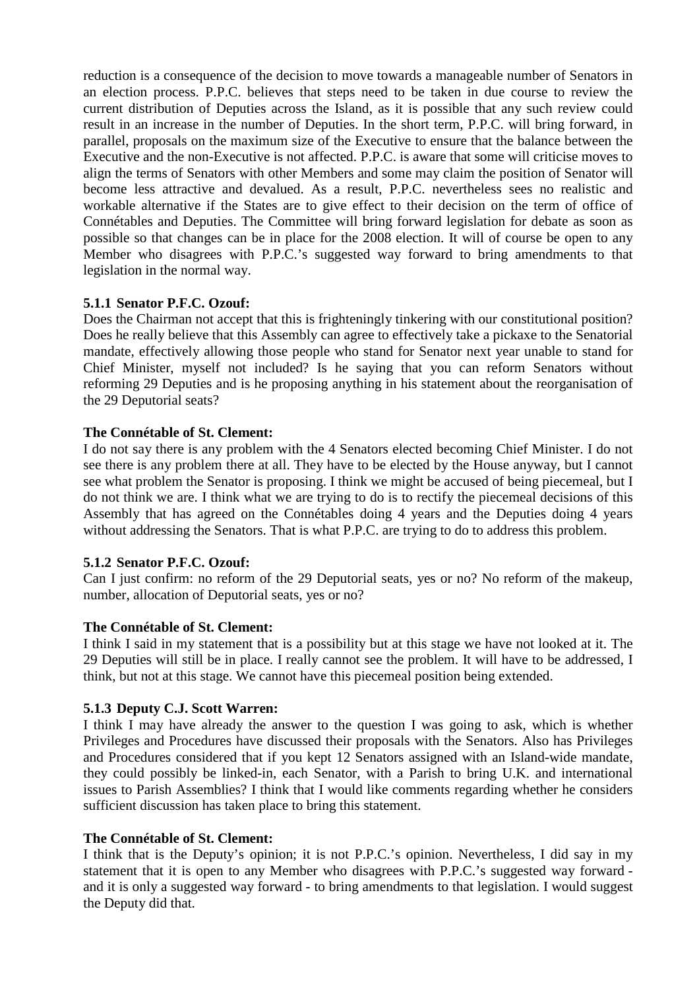reduction is a consequence of the decision to move towards a manageable number of Senators in an election process. P.P.C. believes that steps need to be taken in due course to review the current distribution of Deputies across the Island, as it is possible that any such review could result in an increase in the number of Deputies. In the short term, P.P.C. will bring forward, in parallel, proposals on the maximum size of the Executive to ensure that the balance between the Executive and the non-Executive is not affected. P.P.C. is aware that some will criticise moves to align the terms of Senators with other Members and some may claim the position of Senator will become less attractive and devalued. As a result, P.P.C. nevertheless sees no realistic and workable alternative if the States are to give effect to their decision on the term of office of Connétables and Deputies. The Committee will bring forward legislation for debate as soon as possible so that changes can be in place for the 2008 election. It will of course be open to any Member who disagrees with P.P.C.'s suggested way forward to bring amendments to that legislation in the normal way.

### **5.1.1 Senator P.F.C. Ozouf:**

Does the Chairman not accept that this is frighteningly tinkering with our constitutional position? Does he really believe that this Assembly can agree to effectively take a pickaxe to the Senatorial mandate, effectively allowing those people who stand for Senator next year unable to stand for Chief Minister, myself not included? Is he saying that you can reform Senators without reforming 29 Deputies and is he proposing anything in his statement about the reorganisation of the 29 Deputorial seats?

#### **The Connétable of St. Clement:**

I do not say there is any problem with the 4 Senators elected becoming Chief Minister. I do not see there is any problem there at all. They have to be elected by the House anyway, but I cannot see what problem the Senator is proposing. I think we might be accused of being piecemeal, but I do not think we are. I think what we are trying to do is to rectify the piecemeal decisions of this Assembly that has agreed on the Connétables doing 4 years and the Deputies doing 4 years without addressing the Senators. That is what P.P.C. are trying to do to address this problem.

#### **5.1.2 Senator P.F.C. Ozouf:**

Can I just confirm: no reform of the 29 Deputorial seats, yes or no? No reform of the makeup, number, allocation of Deputorial seats, yes or no?

#### **The Connétable of St. Clement:**

I think I said in my statement that is a possibility but at this stage we have not looked at it. The 29 Deputies will still be in place. I really cannot see the problem. It will have to be addressed, I think, but not at this stage. We cannot have this piecemeal position being extended.

#### **5.1.3 Deputy C.J. Scott Warren:**

I think I may have already the answer to the question I was going to ask, which is whether Privileges and Procedures have discussed their proposals with the Senators. Also has Privileges and Procedures considered that if you kept 12 Senators assigned with an Island-wide mandate, they could possibly be linked-in, each Senator, with a Parish to bring U.K. and international issues to Parish Assemblies? I think that I would like comments regarding whether he considers sufficient discussion has taken place to bring this statement.

#### **The Connétable of St. Clement:**

I think that is the Deputy's opinion; it is not P.P.C.'s opinion. Nevertheless, I did say in my statement that it is open to any Member who disagrees with P.P.C.'s suggested way forward and it is only a suggested way forward - to bring amendments to that legislation. I would suggest the Deputy did that.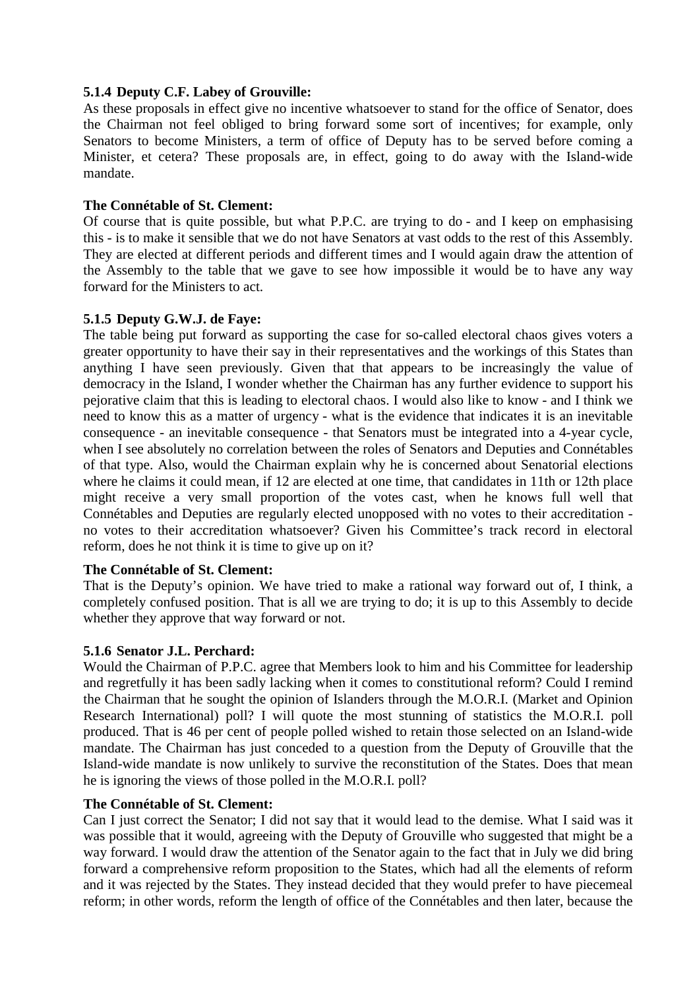#### **5.1.4 Deputy C.F. Labey of Grouville:**

As these proposals in effect give no incentive whatsoever to stand for the office of Senator, does the Chairman not feel obliged to bring forward some sort of incentives; for example, only Senators to become Ministers, a term of office of Deputy has to be served before coming a Minister, et cetera? These proposals are, in effect, going to do away with the Island-wide mandate.

### **The Connétable of St. Clement:**

Of course that is quite possible, but what P.P.C. are trying to do - and I keep on emphasising this - is to make it sensible that we do not have Senators at vast odds to the rest of this Assembly. They are elected at different periods and different times and I would again draw the attention of the Assembly to the table that we gave to see how impossible it would be to have any way forward for the Ministers to act.

### **5.1.5 Deputy G.W.J. de Faye:**

The table being put forward as supporting the case for so-called electoral chaos gives voters a greater opportunity to have their say in their representatives and the workings of this States than anything I have seen previously. Given that that appears to be increasingly the value of democracy in the Island, I wonder whether the Chairman has any further evidence to support his pejorative claim that this is leading to electoral chaos. I would also like to know - and I think we need to know this as a matter of urgency - what is the evidence that indicates it is an inevitable consequence - an inevitable consequence - that Senators must be integrated into a 4-year cycle, when I see absolutely no correlation between the roles of Senators and Deputies and Connétables of that type. Also, would the Chairman explain why he is concerned about Senatorial elections where he claims it could mean, if 12 are elected at one time, that candidates in 11th or 12th place might receive a very small proportion of the votes cast, when he knows full well that Connétables and Deputies are regularly elected unopposed with no votes to their accreditation no votes to their accreditation whatsoever? Given his Committee's track record in electoral reform, does he not think it is time to give up on it?

#### **The Connétable of St. Clement:**

That is the Deputy's opinion. We have tried to make a rational way forward out of, I think, a completely confused position. That is all we are trying to do; it is up to this Assembly to decide whether they approve that way forward or not.

#### **5.1.6 Senator J.L. Perchard:**

Would the Chairman of P.P.C. agree that Members look to him and his Committee for leadership and regretfully it has been sadly lacking when it comes to constitutional reform? Could I remind the Chairman that he sought the opinion of Islanders through the M.O.R.I. (Market and Opinion Research International) poll? I will quote the most stunning of statistics the M.O.R.I. poll produced. That is 46 per cent of people polled wished to retain those selected on an Island-wide mandate. The Chairman has just conceded to a question from the Deputy of Grouville that the Island-wide mandate is now unlikely to survive the reconstitution of the States. Does that mean he is ignoring the views of those polled in the M.O.R.I. poll?

### **The Connétable of St. Clement:**

Can I just correct the Senator; I did not say that it would lead to the demise. What I said was it was possible that it would, agreeing with the Deputy of Grouville who suggested that might be a way forward. I would draw the attention of the Senator again to the fact that in July we did bring forward a comprehensive reform proposition to the States, which had all the elements of reform and it was rejected by the States. They instead decided that they would prefer to have piecemeal reform; in other words, reform the length of office of the Connétables and then later, because the